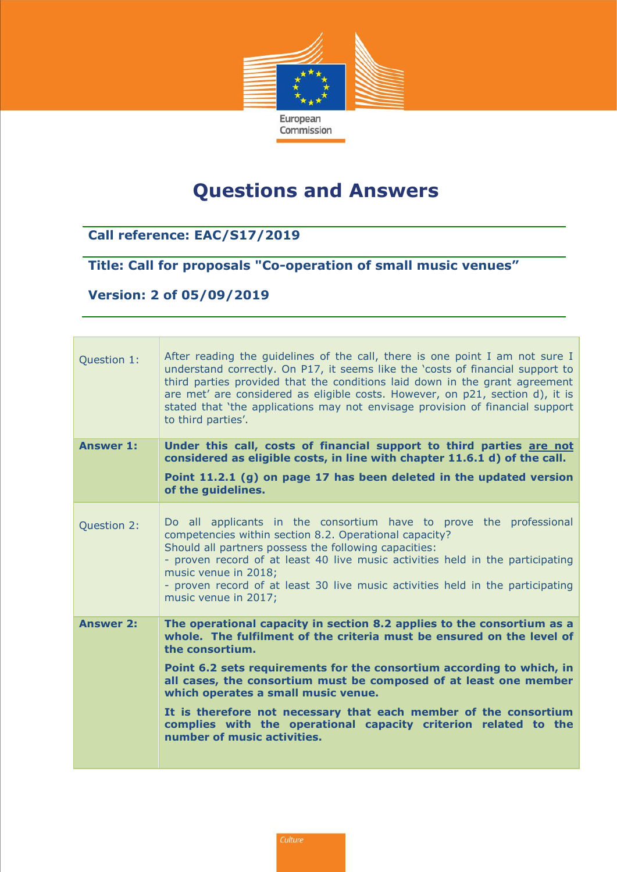

## **Questions and Answers**

## **Call reference: EAC/S17/2019**

## **Title: Call for proposals "Co-operation of small music venues"**

## **Version: 2 of 05/09/2019**

| Question 1:      | After reading the guidelines of the call, there is one point I am not sure I<br>understand correctly. On P17, it seems like the 'costs of financial support to<br>third parties provided that the conditions laid down in the grant agreement<br>are met' are considered as eligible costs. However, on p21, section d), it is<br>stated that 'the applications may not envisage provision of financial support<br>to third parties'. |
|------------------|---------------------------------------------------------------------------------------------------------------------------------------------------------------------------------------------------------------------------------------------------------------------------------------------------------------------------------------------------------------------------------------------------------------------------------------|
| <b>Answer 1:</b> | Under this call, costs of financial support to third parties are not<br>considered as eligible costs, in line with chapter 11.6.1 d) of the call.                                                                                                                                                                                                                                                                                     |
|                  | Point 11.2.1 (g) on page 17 has been deleted in the updated version<br>of the guidelines.                                                                                                                                                                                                                                                                                                                                             |
| Question 2:      | Do all applicants in the consortium have to prove the professional<br>competencies within section 8.2. Operational capacity?<br>Should all partners possess the following capacities:<br>- proven record of at least 40 live music activities held in the participating<br>music venue in 2018;<br>- proven record of at least 30 live music activities held in the participating<br>music venue in 2017;                             |
| <b>Answer 2:</b> | The operational capacity in section 8.2 applies to the consortium as a<br>whole. The fulfilment of the criteria must be ensured on the level of<br>the consortium.                                                                                                                                                                                                                                                                    |
|                  | Point 6.2 sets requirements for the consortium according to which, in<br>all cases, the consortium must be composed of at least one member<br>which operates a small music venue.                                                                                                                                                                                                                                                     |
|                  | It is therefore not necessary that each member of the consortium<br>complies with the operational capacity criterion related to the<br>number of music activities.                                                                                                                                                                                                                                                                    |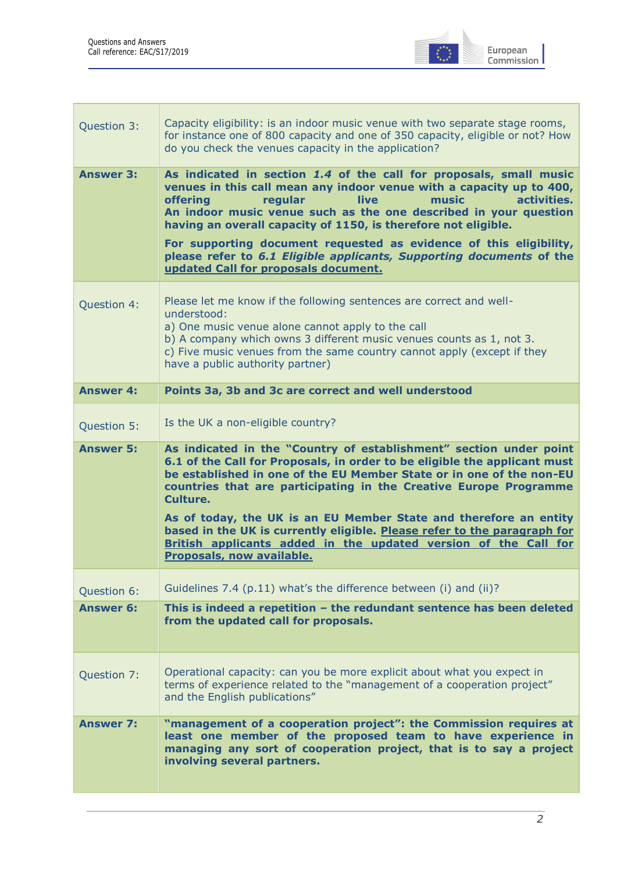

| Question 3:      | Capacity eligibility: is an indoor music venue with two separate stage rooms,<br>for instance one of 800 capacity and one of 350 capacity, eligible or not? How<br>do you check the venues capacity in the application?                                                                                                                                                                                                                                                                                                                                          |
|------------------|------------------------------------------------------------------------------------------------------------------------------------------------------------------------------------------------------------------------------------------------------------------------------------------------------------------------------------------------------------------------------------------------------------------------------------------------------------------------------------------------------------------------------------------------------------------|
| <b>Answer 3:</b> | As indicated in section 1.4 of the call for proposals, small music<br>venues in this call mean any indoor venue with a capacity up to 400,<br>activities.<br><b>offering</b><br>regular<br>live<br>music<br>An indoor music venue such as the one described in your question<br>having an overall capacity of 1150, is therefore not eligible.<br>For supporting document requested as evidence of this eligibility,<br>please refer to 6.1 Eligible applicants, Supporting documents of the<br>updated Call for proposals document.                             |
| Question 4:      | Please let me know if the following sentences are correct and well-<br>understood:<br>a) One music venue alone cannot apply to the call<br>b) A company which owns 3 different music venues counts as 1, not 3.<br>c) Five music venues from the same country cannot apply (except if they<br>have a public authority partner)                                                                                                                                                                                                                                   |
| <b>Answer 4:</b> | Points 3a, 3b and 3c are correct and well understood                                                                                                                                                                                                                                                                                                                                                                                                                                                                                                             |
| Question 5:      | Is the UK a non-eligible country?                                                                                                                                                                                                                                                                                                                                                                                                                                                                                                                                |
| <b>Answer 5:</b> | As indicated in the "Country of establishment" section under point<br>6.1 of the Call for Proposals, in order to be eligible the applicant must<br>be established in one of the EU Member State or in one of the non-EU<br>countries that are participating in the Creative Europe Programme<br>Culture.<br>As of today, the UK is an EU Member State and therefore an entity<br>based in the UK is currently eligible. Please refer to the paragraph for<br>British applicants added in the updated version of the Call for<br><b>Proposals, now available.</b> |
| Question 6:      | Guidelines 7.4 (p.11) what's the difference between (i) and (ii)?                                                                                                                                                                                                                                                                                                                                                                                                                                                                                                |
| <b>Answer 6:</b> | This is indeed a repetition - the redundant sentence has been deleted<br>from the updated call for proposals.                                                                                                                                                                                                                                                                                                                                                                                                                                                    |
| Question 7:      | Operational capacity: can you be more explicit about what you expect in<br>terms of experience related to the "management of a cooperation project"<br>and the English publications"                                                                                                                                                                                                                                                                                                                                                                             |
| <b>Answer 7:</b> | "management of a cooperation project": the Commission requires at<br>least one member of the proposed team to have experience in<br>managing any sort of cooperation project, that is to say a project<br>involving several partners.                                                                                                                                                                                                                                                                                                                            |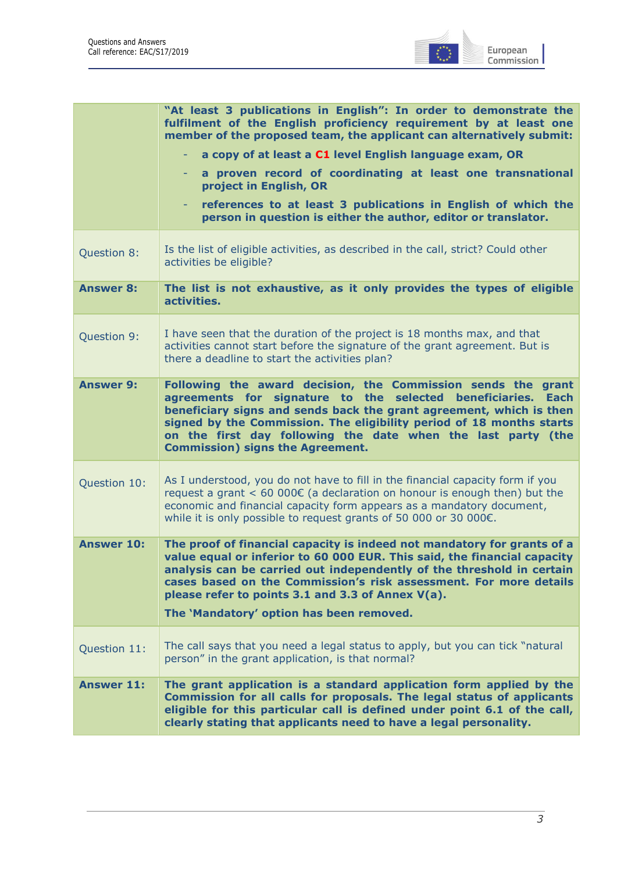

|                   | "At least 3 publications in English": In order to demonstrate the<br>fulfilment of the English proficiency requirement by at least one<br>member of the proposed team, the applicant can alternatively submit:                                                                                                                                                                         |
|-------------------|----------------------------------------------------------------------------------------------------------------------------------------------------------------------------------------------------------------------------------------------------------------------------------------------------------------------------------------------------------------------------------------|
|                   | a copy of at least a C1 level English language exam, OR<br>÷                                                                                                                                                                                                                                                                                                                           |
|                   | a proven record of coordinating at least one transnational<br>project in English, OR                                                                                                                                                                                                                                                                                                   |
|                   | references to at least 3 publications in English of which the<br>person in question is either the author, editor or translator.                                                                                                                                                                                                                                                        |
| Question 8:       | Is the list of eligible activities, as described in the call, strict? Could other<br>activities be eligible?                                                                                                                                                                                                                                                                           |
| <b>Answer 8:</b>  | The list is not exhaustive, as it only provides the types of eligible<br>activities.                                                                                                                                                                                                                                                                                                   |
| Question 9:       | I have seen that the duration of the project is 18 months max, and that<br>activities cannot start before the signature of the grant agreement. But is<br>there a deadline to start the activities plan?                                                                                                                                                                               |
| <b>Answer 9:</b>  | Following the award decision, the Commission sends the grant<br>agreements for signature to the selected beneficiaries. Each<br>beneficiary signs and sends back the grant agreement, which is then<br>signed by the Commission. The eligibility period of 18 months starts<br>on the first day following the date when the last party (the<br><b>Commission) signs the Agreement.</b> |
| Question 10:      | As I understood, you do not have to fill in the financial capacity form if you<br>request a grant $< 60,000 \in (a \text{ declaration on honour is enough then})$ but the<br>economic and financial capacity form appears as a mandatory document,<br>while it is only possible to request grants of 50 000 or 30 000€.                                                                |
| <b>Answer 10:</b> | The proof of financial capacity is indeed not mandatory for grants of a<br>value equal or inferior to 60 000 EUR. This said, the financial capacity<br>analysis can be carried out independently of the threshold in certain<br>cases based on the Commission's risk assessment. For more details<br>please refer to points 3.1 and 3.3 of Annex V(a).                                 |
|                   | The 'Mandatory' option has been removed.                                                                                                                                                                                                                                                                                                                                               |
| Question 11:      | The call says that you need a legal status to apply, but you can tick "natural<br>person" in the grant application, is that normal?                                                                                                                                                                                                                                                    |
| <b>Answer 11:</b> | The grant application is a standard application form applied by the<br>Commission for all calls for proposals. The legal status of applicants<br>eligible for this particular call is defined under point 6.1 of the call,<br>clearly stating that applicants need to have a legal personality.                                                                                        |